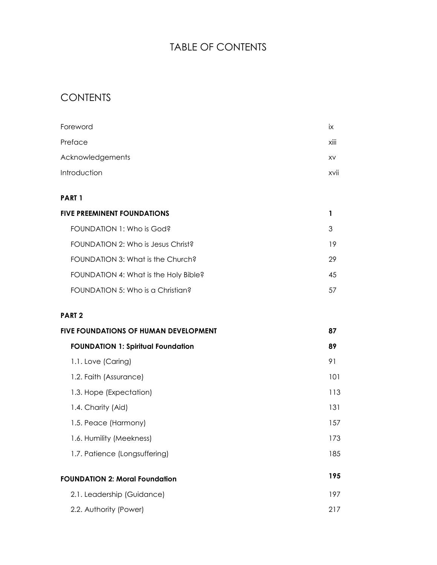# TABLE OF CONTENTS

# **CONTENTS**

| Foreword                                     | iх   |
|----------------------------------------------|------|
| Preface                                      | xiii |
| Acknowledgements                             | XV   |
| Introduction                                 | xvii |
| PART 1                                       |      |
| <b>FIVE PREEMINENT FOUNDATIONS</b>           | 1    |
| FOUNDATION 1: Who is God?                    | 3    |
| FOUNDATION 2: Who is Jesus Christ?           | 19   |
| FOUNDATION 3: What is the Church?            | 29   |
| FOUNDATION 4: What is the Holy Bible?        | 45   |
| FOUNDATION 5: Who is a Christian?            | 57   |
| <b>PART 2</b>                                |      |
| <b>FIVE FOUNDATIONS OF HUMAN DEVELOPMENT</b> | 87   |
| <b>FOUNDATION 1: Spiritual Foundation</b>    | 89   |
| 1.1. Love (Caring)                           | 91   |
| 1.2. Faith (Assurance)                       | 101  |
| 1.3. Hope (Expectation)                      | 113  |
| 1.4. Charity (Aid)                           | 131  |
| 1.5. Peace (Harmony)                         | 157  |
| 1.6. Humility (Meekness)                     | 173  |
| 1.7. Patience (Longsuffering)                | 185  |
| <b>FOUNDATION 2: Moral Foundation</b>        | 195  |
| 2.1. Leadership (Guidance)                   | 197  |
| 2.2. Authority (Power)                       | 217  |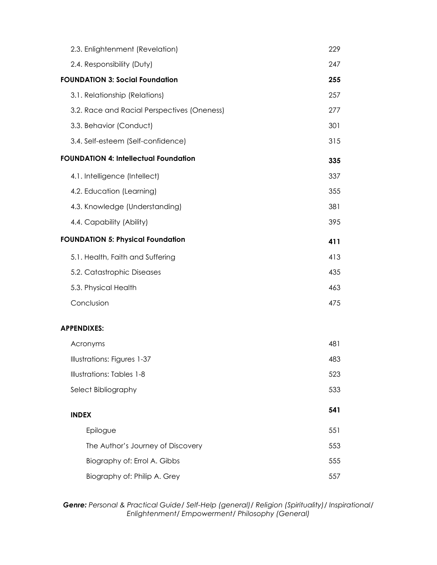| 2.3. Enlightenment (Revelation)              | 229 |
|----------------------------------------------|-----|
| 2.4. Responsibility (Duty)                   | 247 |
| <b>FOUNDATION 3: Social Foundation</b>       | 255 |
| 3.1. Relationship (Relations)                | 257 |
| 3.2. Race and Racial Perspectives (Oneness)  | 277 |
| 3.3. Behavior (Conduct)                      | 301 |
| 3.4. Self-esteem (Self-confidence)           | 315 |
| <b>FOUNDATION 4: Intellectual Foundation</b> | 335 |
| 4.1. Intelligence (Intellect)                | 337 |
| 4.2. Education (Learning)                    | 355 |
| 4.3. Knowledge (Understanding)               | 381 |
| 4.4. Capability (Ability)                    | 395 |
| <b>FOUNDATION 5: Physical Foundation</b>     | 411 |
| 5.1. Health, Faith and Suffering             | 413 |
| 5.2. Catastrophic Diseases                   | 435 |
| 5.3. Physical Health                         | 463 |
| Conclusion                                   | 475 |
| <b>APPENDIXES:</b>                           |     |
| Acronyms                                     | 481 |
| Illustrations: Figures 1-37                  | 483 |
| <b>Illustrations: Tables 1-8</b>             | 523 |
| Select Bibliography                          | 533 |
| <b>INDEX</b>                                 | 541 |
| Epilogue                                     | 551 |
| The Author's Journey of Discovery            | 553 |
| Biography of: Errol A. Gibbs                 | 555 |
| Biography of: Philip A. Grey                 | 557 |
|                                              |     |

*Genre: Personal & Practical Guide/ Self-Help (general)/ Religion (Spirituality)/ Inspirational/ Enlightenment/ Empowerment/ Philosophy (General)*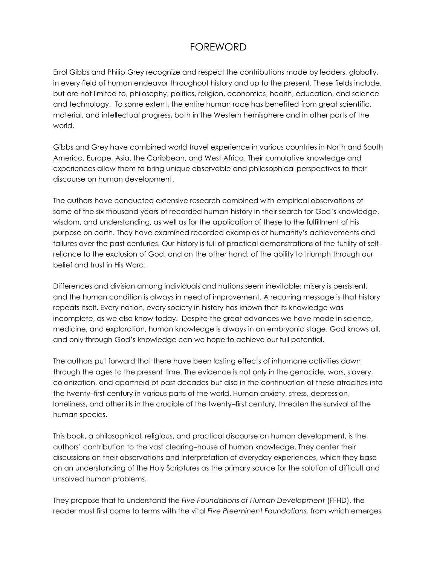# FOREWORD

Errol Gibbs and Philip Grey recognize and respect the contributions made by leaders, globally, in every field of human endeavor throughout history and up to the present. These fields include, but are not limited to, philosophy, politics, religion, economics, health, education, and science and technology. To some extent, the entire human race has benefited from great scientific, material, and intellectual progress, both in the Western hemisphere and in other parts of the world.

Gibbs and Grey have combined world travel experience in various countries in North and South America, Europe, Asia, the Caribbean, and West Africa. Their cumulative knowledge and experiences allow them to bring unique observable and philosophical perspectives to their discourse on human development.

The authors have conducted extensive research combined with empirical observations of some of the six thousand years of recorded human history in their search for God's knowledge, wisdom, and understanding, as well as for the application of these to the fulfillment of His purpose on earth. They have examined recorded examples of humanity's achievements and failures over the past centuries. Our history is full of practical demonstrations of the futility of self– reliance to the exclusion of God, and on the other hand, of the ability to triumph through our belief and trust in His Word.

Differences and division among individuals and nations seem inevitable; misery is persistent, and the human condition is always in need of improvement. A recurring message is that history repeats itself. Every nation, every society in history has known that its knowledge was incomplete, as we also know today. Despite the great advances we have made in science, medicine, and exploration, human knowledge is always in an embryonic stage. God knows all, and only through God's knowledge can we hope to achieve our full potential.

The authors put forward that there have been lasting effects of inhumane activities down through the ages to the present time. The evidence is not only in the genocide, wars, slavery, colonization, and apartheid of past decades but also in the continuation of these atrocities into the twenty–first century in various parts of the world. Human anxiety, stress, depression, loneliness, and other ills in the crucible of the twenty–first century, threaten the survival of the human species.

This book, a philosophical, religious, and practical discourse on human development, is the authors' contribution to the vast clearing–house of human knowledge. They center their discussions on their observations and interpretation of everyday experiences, which they base on an understanding of the Holy Scriptures as the primary source for the solution of difficult and unsolved human problems.

They propose that to understand the *Five Foundations of Human Development* (FFHD), the reader must first come to terms with the vital *Five Preeminent Foundations,* from which emerges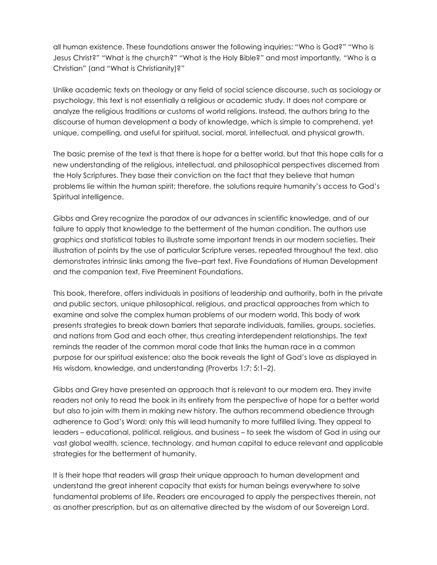all human existence. These foundations answer the following inquiries: "Who is God?*" "*Who is Jesus Christ?*" "*What is the church?*" "*What is the Holy Bible?*"* and most importantly*, "*Who is a Christian" (and "What is Christianity)?*"* 

Unlike academic texts on theology or any field of social science discourse, such as sociology or psychology, this text is not essentially a religious or academic study. It does not compare or analyze the religious traditions or customs of world religions. Instead, the authors bring to the discourse of human development a body of knowledge, which is simple to comprehend, yet unique, compelling, and useful for spiritual, social, moral, intellectual, and physical growth.

The basic premise of the text is that there is hope for a better world, but that this hope calls for a new understanding of the religious, intellectual, and philosophical perspectives discerned from the Holy Scriptures. They base their conviction on the fact that they believe that human problems lie within the human spirit; therefore, the solutions require humanity's access to God's Spiritual intelligence.

Gibbs and Grey recognize the paradox of our advances in scientific knowledge, and of our failure to apply that knowledge to the betterment of the human condition. The authors use graphics and statistical tables to illustrate some important trends in our modern societies. Their illustration of points by the use of particular Scripture verses, repeated throughout the text, also demonstrates intrinsic links among the five–part text, Five Foundations of Human Development and the companion text, Five Preeminent Foundations.

This book, therefore, offers individuals in positions of leadership and authority, both in the private and public sectors, unique philosophical, religious, and practical approaches from which to examine and solve the complex human problems of our modern world. This body of work presents strategies to break down barriers that separate individuals, families, groups, societies, and nations from God and each other, thus creating interdependent relationships. The text reminds the reader of the common moral code that links the human race in a common purpose for our spiritual existence; also the book reveals the light of God's love as displayed in His wisdom, knowledge, and understanding (Proverbs 1:7; 5:1–2).

Gibbs and Grey have presented an approach that is relevant to our modern era. They invite readers not only to read the book in its entirety from the perspective of hope for a better world but also to join with them in making new history. The authors recommend obedience through adherence to God's Word; only this will lead humanity to more fulfilled living. They appeal to leaders – educational, political, religious, and business – to seek the wisdom of God in using our vast global wealth, science, technology, and human capital to educe relevant and applicable strategies for the betterment of humanity.

It is their hope that readers will grasp their unique approach to human development and understand the great inherent capacity that exists for human beings everywhere to solve fundamental problems of life. Readers are encouraged to apply the perspectives therein, not as another prescription, but as an alternative directed by the wisdom of our Sovereign Lord.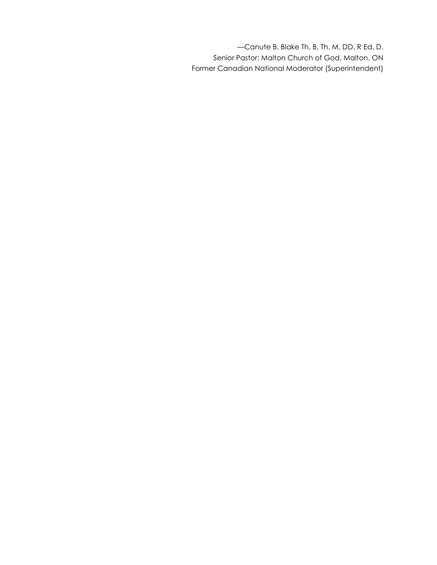—Canute B. Blake Th. B, Th. M, DD, R Ed. D. Senior Pastor: Malton Church of God, Malton, ON Former Canadian National Moderator (Superintendent)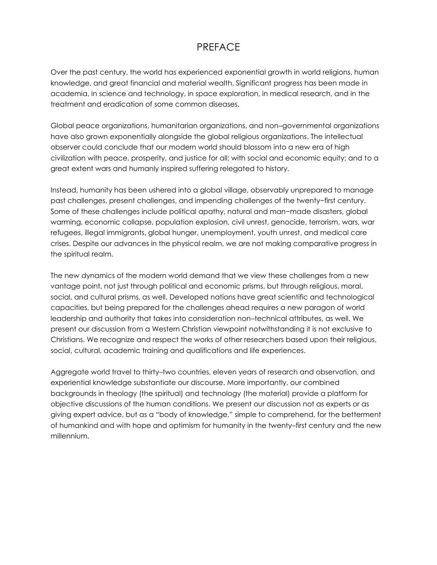#### PREFACE

Over the past century, the world has experienced exponential growth in world religions, human knowledge, and great financial and material wealth. Significant progress has been made in academia, in science and technology, in space exploration, in medical research, and in the treatment and eradication of some common diseases.

Global peace organizations, humanitarian organizations, and non–governmental organizations have also grown exponentially alongside the global religious organizations. The intellectual observer could conclude that our modern world should blossom into a new era of high civilization with peace, prosperity, and justice for all; with social and economic equity; and to a great extent wars and humanly inspired suffering relegated to history.

Instead, humanity has been ushered into a global village, observably unprepared to manage past challenges, present challenges, and impending challenges of the twenty−first century. Some of these challenges include political apathy, natural and man−made disasters, global warming, economic collapse, population explosion, civil unrest, genocide, terrorism, wars, war refugees, illegal immigrants, global hunger, unemployment, youth unrest, and medical care crises. Despite our advances in the physical realm, we are not making comparative progress in the spiritual realm.

The new dynamics of the modern world demand that we view these challenges from a new vantage point, not just through political and economic prisms, but through religious, moral, social, and cultural prisms, as well. Developed nations have great scientific and technological capacities, but being prepared for the challenges ahead requires a new paragon of world leadership and authority that takes into consideration non–technical attributes, as well. We present our discussion from a Western Christian viewpoint notwithstanding it is not exclusive to Christians. We recognize and respect the works of other researchers based upon their religious, social, cultural, academic training and qualifications and life experiences.

Aggregate world travel to thirty–two countries, eleven years of research and observation, and experiential knowledge substantiate our discourse. More importantly, our combined backgrounds in theology (the spiritual) and technology (the material) provide a platform for objective discussions of the human conditions. We present our discussion not as experts or as giving expert advice, but as a "body of knowledge," simple to comprehend, for the betterment of humankind and with hope and optimism for humanity in the twenty–first century and the new millennium.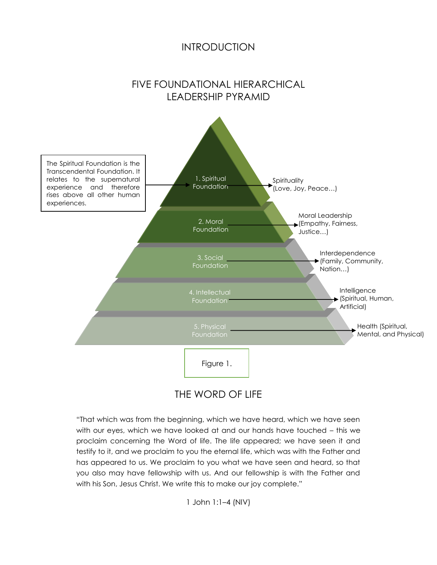#### INTRODUCTION

#### FIVE FOUNDATIONAL HIERARCHICAL LEADERSHIP PYRAMID



#### THE WORD OF LIFE

"That which was from the beginning, which we have heard, which we have seen with our eyes, which we have looked at and our hands have touched – this we proclaim concerning the Word of life. The life appeared; we have seen it and testify to it, and we proclaim to you the eternal life, which was with the Father and has appeared to us. We proclaim to you what we have seen and heard, so that you also may have fellowship with us. And our fellowship is with the Father and with his Son, Jesus Christ. We write this to make our joy complete."

1 John 1:1–4 (NIV)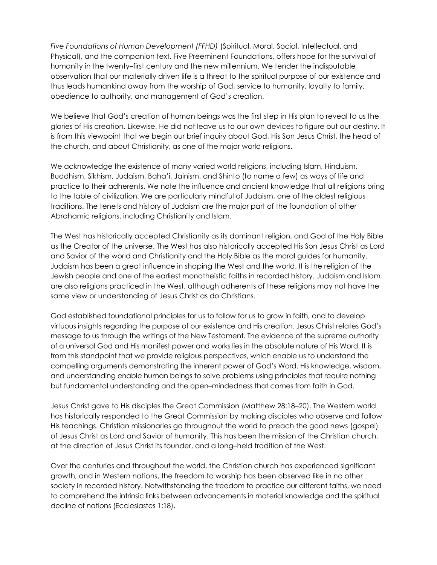*Five Foundations of Human Development (FFHD)* (Spiritual, Moral, Social, Intellectual, and Physical), and the companion text, Five Preeminent Foundations, offers hope for the survival of humanity in the twenty–first century and the new millennium. We tender the indisputable observation that our materially driven life is a threat to the spiritual purpose of our existence and thus leads humankind away from the worship of God, service to humanity, loyalty to family, obedience to authority, and management of God's creation.

We believe that God's creation of human beings was the first step in His plan to reveal to us the glories of His creation. Likewise, He did not leave us to our own devices to figure out our destiny. It is from this viewpoint that we begin our brief inquiry about God, His Son Jesus Christ, the head of the church, and about Christianity, as one of the major world religions.

We acknowledge the existence of many varied world religions, including Islam, Hinduism, Buddhism, Sikhism, Judaism, Baha'i, Jainism, and Shinto (to name a few) as ways of life and practice to their adherents. We note the influence and ancient knowledge that all religions bring to the table of civilization. We are particularly mindful of Judaism, one of the oldest religious traditions. The tenets and history of Judaism are the major part of the foundation of other Abrahamic religions, including Christianity and Islam.

The West has historically accepted Christianity as its dominant religion, and God of the Holy Bible as the Creator of the universe. The West has also historically accepted His Son Jesus Christ as Lord and Savior of the world and Christianity and the Holy Bible as the moral guides for humanity. Judaism has been a great influence in shaping the West and the world. It is the religion of the Jewish people and one of the earliest monotheistic faiths in recorded history. Judaism and Islam are also religions practiced in the West, although adherents of these religions may not have the same view or understanding of Jesus Christ as do Christians.

God established foundational principles for us to follow for us to grow in faith, and to develop virtuous insights regarding the purpose of our existence and His creation. Jesus Christ relates God's message to us through the writings of the New Testament. The evidence of the supreme authority of a universal God and His manifest power and works lies in the absolute nature of His Word. It is from this standpoint that we provide religious perspectives, which enable us to understand the compelling arguments demonstrating the inherent power of God's Word. His knowledge, wisdom, and understanding enable human beings to solve problems using principles that require nothing but fundamental understanding and the open–mindedness that comes from faith in God.

Jesus Christ gave to His disciples the Great Commission (Matthew 28:18–20). The Western world has historically responded to the Great Commission by making disciples who observe and follow His teachings. Christian missionaries go throughout the world to preach the good news (gospel) of Jesus Christ as Lord and Savior of humanity. This has been the mission of the Christian church, at the direction of Jesus Christ its founder, and a long–held tradition of the West.

Over the centuries and throughout the world, the Christian church has experienced significant growth, and in Western nations, the freedom to worship has been observed like in no other society in recorded history. Notwithstanding the freedom to practice our different faiths, we need to comprehend the intrinsic links between advancements in material knowledge and the spiritual decline of nations (Ecclesiastes 1:18).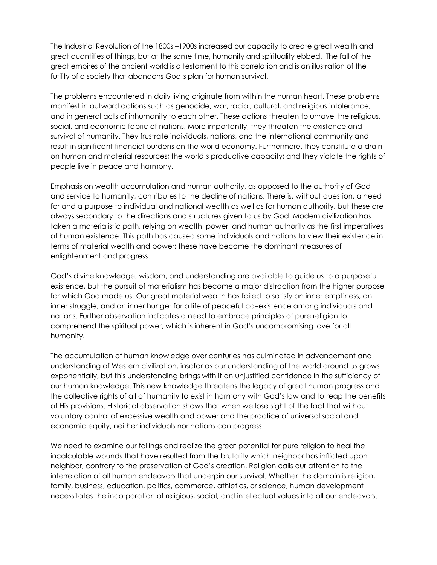The Industrial Revolution of the 1800s –1900s increased our capacity to create great wealth and great quantities of things, but at the same time, humanity and spirituality ebbed. The fall of the great empires of the ancient world is a testament to this correlation and is an illustration of the futility of a society that abandons God's plan for human survival.

The problems encountered in daily living originate from within the human heart. These problems manifest in outward actions such as genocide, war, racial, cultural, and religious intolerance, and in general acts of inhumanity to each other. These actions threaten to unravel the religious, social, and economic fabric of nations. More importantly, they threaten the existence and survival of humanity. They frustrate individuals, nations, and the international community and result in significant financial burdens on the world economy. Furthermore, they constitute a drain on human and material resources; the world's productive capacity; and they violate the rights of people live in peace and harmony.

Emphasis on wealth accumulation and human authority, as opposed to the authority of God and service to humanity, contributes to the decline of nations. There is, without question, a need for and a purpose to individual and national wealth as well as for human authority, but these are always secondary to the directions and structures given to us by God. Modern civilization has taken a materialistic path, relying on wealth, power, and human authority as the first imperatives of human existence. This path has caused some individuals and nations to view their existence in terms of material wealth and power; these have become the dominant measures of enlightenment and progress.

God's divine knowledge, wisdom, and understanding are available to guide us to a purposeful existence, but the pursuit of materialism has become a major distraction from the higher purpose for which God made us. Our great material wealth has failed to satisfy an inner emptiness, an inner struggle, and an inner hunger for a life of peaceful co–existence among individuals and nations. Further observation indicates a need to embrace principles of pure religion to comprehend the spiritual power, which is inherent in God's uncompromising love for all humanity.

The accumulation of human knowledge over centuries has culminated in advancement and understanding of Western civilization, insofar as our understanding of the world around us grows exponentially, but this understanding brings with it an unjustified confidence in the sufficiency of our human knowledge. This new knowledge threatens the legacy of great human progress and the collective rights of all of humanity to exist in harmony with God's law and to reap the benefits of His provisions. Historical observation shows that when we lose sight of the fact that without voluntary control of excessive wealth and power and the practice of universal social and economic equity, neither individuals nor nations can progress.

We need to examine our failings and realize the great potential for pure religion to heal the incalculable wounds that have resulted from the brutality which neighbor has inflicted upon neighbor, contrary to the preservation of God's creation. Religion calls our attention to the interrelation of all human endeavors that underpin our survival. Whether the domain is religion, family, business, education, politics, commerce, athletics, or science, human development necessitates the incorporation of religious, social, and intellectual values into all our endeavors.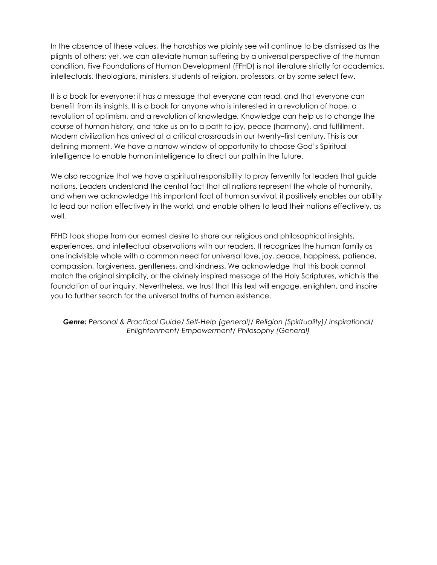In the absence of these values, the hardships we plainly see will continue to be dismissed as the plights of others; yet, we can alleviate human suffering by a universal perspective of the human condition. Five Foundations of Human Development (FFHD) is not literature strictly for academics, intellectuals, theologians, ministers, students of religion, professors, or by some select few.

It is a book for everyone; it has a message that everyone can read, and that everyone can benefit from its insights. It is a book for anyone who is interested in a revolution of hope*,* a revolution of optimism, and a revolution of knowledge*.* Knowledge can help us to change the course of human history, and take us on to a path to joy, peace (harmony), and fulfillment. Modern civilization has arrived at a critical crossroads in our twenty–first century. This is our defining moment. We have a narrow window of opportunity to choose God's Spiritual intelligence to enable human intelligence to direct our path in the future.

We also recognize that we have a spiritual responsibility to pray fervently for leaders that guide nations. Leaders understand the central fact that all nations represent the whole of humanity, and when we acknowledge this important fact of human survival, it positively enables our ability to lead our nation effectively in the world, and enable others to lead their nations effectively, as well.

FFHD took shape from our earnest desire to share our religious and philosophical insights, experiences, and intellectual observations with our readers. It recognizes the human family as one indivisible whole with a common need for universal love, joy, peace, happiness, patience, compassion, forgiveness, gentleness, and kindness. We acknowledge that this book cannot match the original simplicity, or the divinely inspired message of the Holy Scriptures, which is the foundation of our inquiry. Nevertheless, we trust that this text will engage, enlighten, and inspire you to further search for the universal truths of human existence.

*Genre: Personal & Practical Guide/ Self-Help (general)/ Religion (Spirituality)/ Inspirational/ Enlightenment/ Empowerment/ Philosophy (General)*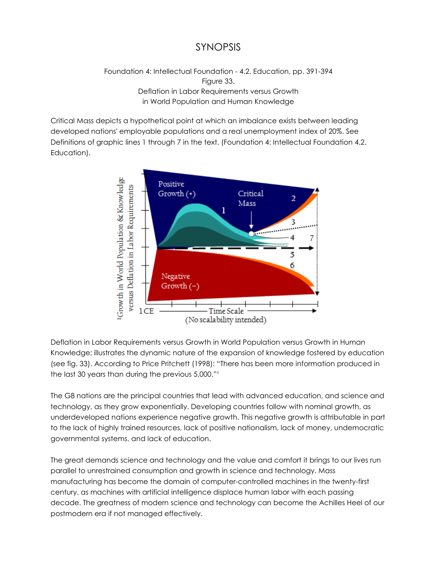### SYNOPSIS

#### Foundation 4: Intellectual Foundation - 4.2. Education, pp. 391-394 Figure 33. Deflation in Labor Requirements versus Growth in World Population and Human Knowledge

Critical Mass depicts a hypothetical point at which an imbalance exists between leading developed nations' employable populations and a real unemployment index of 20%. See Definitions of graphic lines 1 through 7 in the text. (Foundation 4: Intellectual Foundation 4.2. Education).



Deflation in Labor Requirements versus Growth in World Population versus Growth in Human Knowledge; illustrates the dynamic nature of the expansion of knowledge fostered by education (see fig. 33). According to Price Pritchett (1998): "There has been more information produced in the last 30 years than during the previous 5,000."<sup>1</sup>

The G8 nations are the principal countries that lead with advanced education, and science and technology, as they grow exponentially. Developing countries follow with nominal growth, as underdeveloped nations experience negative growth. This negative growth is attributable in part to the lack of highly trained resources, lack of positive nationalism, lack of money, undemocratic governmental systems, and lack of education.

The great demands science and technology and the value and comfort it brings to our lives run parallel to unrestrained consumption and growth in science and technology. Mass manufacturing has become the domain of computer-controlled machines in the twenty-first century, as machines with artificial intelligence displace human labor with each passing decade. The greatness of modern science and technology can become the Achilles Heel of our postmodern era if not managed effectively.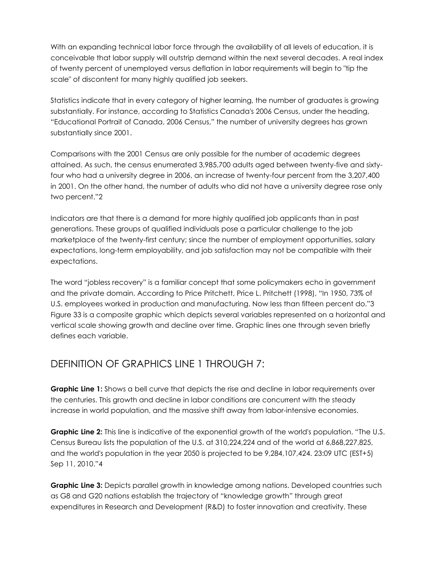With an expanding technical labor force through the availability of all levels of education, it is conceivable that labor supply will outstrip demand within the next several decades. A real index of twenty percent of unemployed versus deflation in labor requirements will begin to "tip the scale" of discontent for many highly qualified job seekers.

Statistics indicate that in every category of higher learning, the number of graduates is growing substantially. For instance, according to Statistics Canada's 2006 Census, under the heading, "Educational Portrait of Canada, 2006 Census," the number of university degrees has grown substantially since 2001.

Comparisons with the 2001 Census are only possible for the number of academic degrees attained. As such, the census enumerated 3,985,700 adults aged between twenty-five and sixtyfour who had a university degree in 2006, an increase of twenty-four percent from the 3,207,400 in 2001. On the other hand, the number of adults who did not have a university degree rose only two percent."2

Indicators are that there is a demand for more highly qualified job applicants than in past generations. These groups of qualified individuals pose a particular challenge to the job marketplace of the twenty-first century; since the number of employment opportunities, salary expectations, long-term employability, and job satisfaction may not be compatible with their expectations.

The word "jobless recovery" is a familiar concept that some policymakers echo in government and the private domain. According to Price Pritchett, Price L. Pritchett (1998), "In 1950, 73% of U.S. employees worked in production and manufacturing. Now less than fifteen percent do."3 Figure 33 is a composite graphic which depicts several variables represented on a horizontal and vertical scale showing growth and decline over time. Graphic lines one through seven briefly defines each variable.

### DEFINITION OF GRAPHICS LINE 1 THROUGH 7:

**Graphic Line 1:** Shows a bell curve that depicts the rise and decline in labor requirements over the centuries. This growth and decline in labor conditions are concurrent with the steady increase in world population, and the massive shift away from labor-intensive economies.

**Graphic Line 2:** This line is indicative of the exponential growth of the world's population. "The U.S. Census Bureau lists the population of the U.S. at 310,224,224 and of the world at 6,868,227,825, and the world's population in the year 2050 is projected to be 9,284,107,424. 23:09 UTC (EST+5) Sep 11, 2010."4

**Graphic Line 3:** Depicts parallel growth in knowledge among nations. Developed countries such as G8 and G20 nations establish the trajectory of "knowledge growth" through great expenditures in Research and Development (R&D) to foster innovation and creativity. These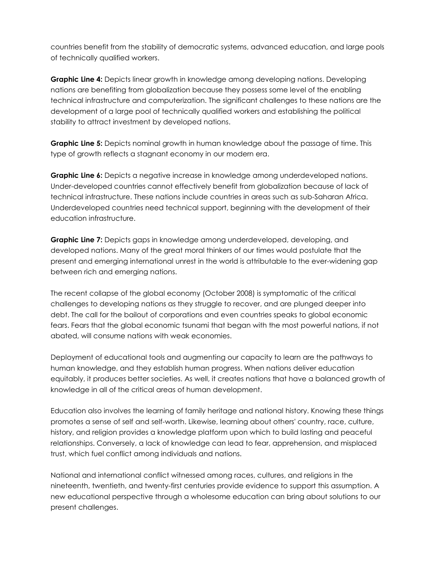countries benefit from the stability of democratic systems, advanced education, and large pools of technically qualified workers.

**Graphic Line 4:** Depicts linear growth in knowledge among developing nations. Developing nations are benefiting from globalization because they possess some level of the enabling technical infrastructure and computerization. The significant challenges to these nations are the development of a large pool of technically qualified workers and establishing the political stability to attract investment by developed nations.

**Graphic Line 5:** Depicts nominal growth in human knowledge about the passage of time. This type of growth reflects a stagnant economy in our modern era.

**Graphic Line 6:** Depicts a negative increase in knowledge among underdeveloped nations. Under-developed countries cannot effectively benefit from globalization because of lack of technical infrastructure. These nations include countries in areas such as sub-Saharan Africa. Underdeveloped countries need technical support, beginning with the development of their education infrastructure.

**Graphic Line 7:** Depicts gaps in knowledge among underdeveloped, developing, and developed nations. Many of the great moral thinkers of our times would postulate that the present and emerging international unrest in the world is attributable to the ever-widening gap between rich and emerging nations.

The recent collapse of the global economy (October 2008) is symptomatic of the critical challenges to developing nations as they struggle to recover, and are plunged deeper into debt. The call for the bailout of corporations and even countries speaks to global economic fears. Fears that the global economic tsunami that began with the most powerful nations, if not abated, will consume nations with weak economies.

Deployment of educational tools and augmenting our capacity to learn are the pathways to human knowledge, and they establish human progress. When nations deliver education equitably, it produces better societies. As well, it creates nations that have a balanced growth of knowledge in all of the critical areas of human development.

Education also involves the learning of family heritage and national history. Knowing these things promotes a sense of self and self-worth. Likewise, learning about others' country, race, culture, history, and religion provides a knowledge platform upon which to build lasting and peaceful relationships. Conversely, a lack of knowledge can lead to fear, apprehension, and misplaced trust, which fuel conflict among individuals and nations.

National and international conflict witnessed among races, cultures, and religions in the nineteenth, twentieth, and twenty-first centuries provide evidence to support this assumption. A new educational perspective through a wholesome education can bring about solutions to our present challenges.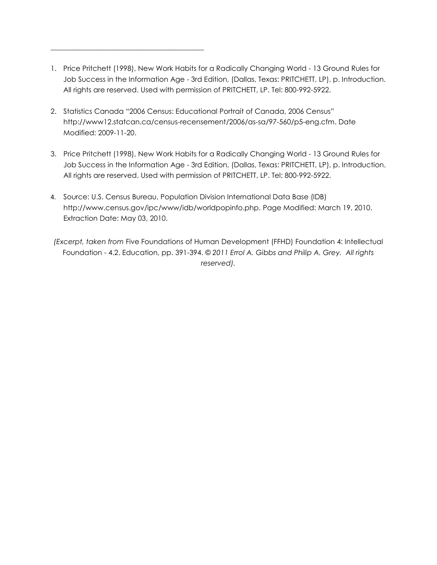- 1. Price Pritchett (1998), New Work Habits for a Radically Changing World 13 Ground Rules for Job Success in the Information Age - 3rd Edition, (Dallas, Texas: PRITCHETT, LP), p. Introduction. All rights are reserved. Used with permission of PRITCHETT, LP. Tel: 800-992-5922.
- 2. Statistics Canada "2006 Census: Educational Portrait of Canada, 2006 Census" http://www12.statcan.ca/census-recensement/2006/as-sa/97-560/p5-eng.cfm. Date Modified: 2009-11-20.

\_\_\_\_\_\_\_\_\_\_\_\_\_\_\_\_\_\_\_\_\_\_\_\_\_\_\_\_\_\_\_\_\_\_\_\_\_\_\_\_\_\_\_

- 3. Price Pritchett (1998), New Work Habits for a Radically Changing World 13 Ground Rules for Job Success in the Information Age - 3rd Edition, (Dallas, Texas: PRITCHETT, LP), p. Introduction. All rights are reserved. Used with permission of PRITCHETT, LP. Tel: 800-992-5922.
- 4. Source: U.S. Census Bureau, Population Division International Data Base (IDB) http://www.census.gov/ipc/www/idb/worldpopinfo.php. Page Modified: March 19, 2010. Extraction Date: May 03, 2010.
- *(Excerpt, taken from* Five Foundations of Human Development (FFHD) Foundation 4: Intellectual Foundation - 4.2. Education, pp. 391-394. *© 2011 Errol A. Gibbs and Philip A. Grey. All rights reserved).*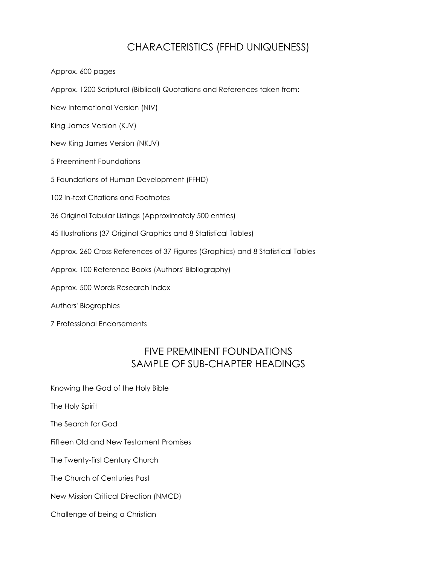### CHARACTERISTICS (FFHD UNIQUENESS)

Approx. 600 pages

Approx. 1200 Scriptural (Biblical) Quotations and References taken from:

New International Version (NIV)

King James Version (KJV)

New King James Version (NKJV)

5 Preeminent Foundations

5 Foundations of Human Development (FFHD)

102 In-text Citations and Footnotes

36 Original Tabular Listings (Approximately 500 entries)

45 Illustrations (37 Original Graphics and 8 Statistical Tables)

Approx. 260 Cross References of 37 Figures (Graphics) and 8 Statistical Tables

Approx. 100 Reference Books (Authors' Bibliography)

Approx. 500 Words Research Index

Authors' Biographies

7 Professional Endorsements

#### FIVE PREMINENT FOUNDATIONS SAMPLE OF SUB-CHAPTER HEADINGS

Knowing the God of the Holy Bible

The Holy Spirit

The Search for God

Fifteen Old and New Testament Promises

The Twenty-first Century Church

The Church of Centuries Past

New Mission Critical Direction (NMCD)

Challenge of being a Christian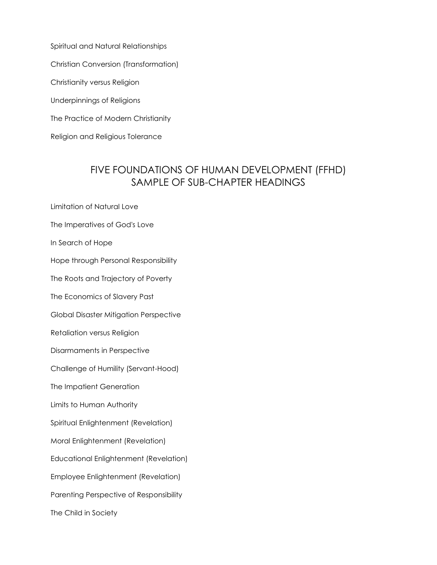Spiritual and Natural Relationships Christian Conversion (Transformation) Christianity versus Religion Underpinnings of Religions The Practice of Modern Christianity Religion and Religious Tolerance

### FIVE FOUNDATIONS OF HUMAN DEVELOPMENT (FFHD) SAMPLE OF SUB-CHAPTER HEADINGS

Limitation of Natural Love

The Imperatives of God's Love

In Search of Hope

Hope through Personal Responsibility

The Roots and Trajectory of Poverty

The Economics of Slavery Past

Global Disaster Mitigation Perspective

Retaliation versus Religion

Disarmaments in Perspective

Challenge of Humility (Servant-Hood)

The Impatient Generation

Limits to Human Authority

Spiritual Enlightenment (Revelation)

Moral Enlightenment (Revelation)

Educational Enlightenment (Revelation)

Employee Enlightenment (Revelation)

Parenting Perspective of Responsibility

The Child in Society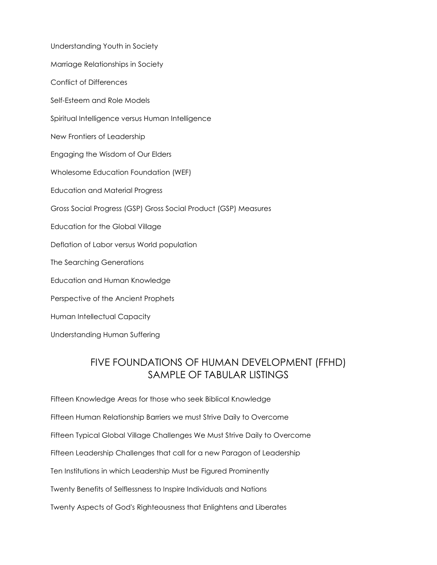Understanding Youth in Society Marriage Relationships in Society Conflict of Differences Self-Esteem and Role Models Spiritual Intelligence versus Human Intelligence New Frontiers of Leadership Engaging the Wisdom of Our Elders Wholesome Education Foundation (WEF) Education and Material Progress Gross Social Progress (GSP) Gross Social Product (GSP) Measures Education for the Global Village Deflation of Labor versus World population The Searching Generations Education and Human Knowledge Perspective of the Ancient Prophets Human Intellectual Capacity Understanding Human Suffering

# FIVE FOUNDATIONS OF HUMAN DEVELOPMENT (FFHD) SAMPLE OF TABULAR LISTINGS

Fifteen Knowledge Areas for those who seek Biblical Knowledge Fifteen Human Relationship Barriers we must Strive Daily to Overcome Fifteen Typical Global Village Challenges We Must Strive Daily to Overcome Fifteen Leadership Challenges that call for a new Paragon of Leadership Ten Institutions in which Leadership Must be Figured Prominently Twenty Benefits of Selflessness to Inspire Individuals and Nations Twenty Aspects of God's Righteousness that Enlightens and Liberates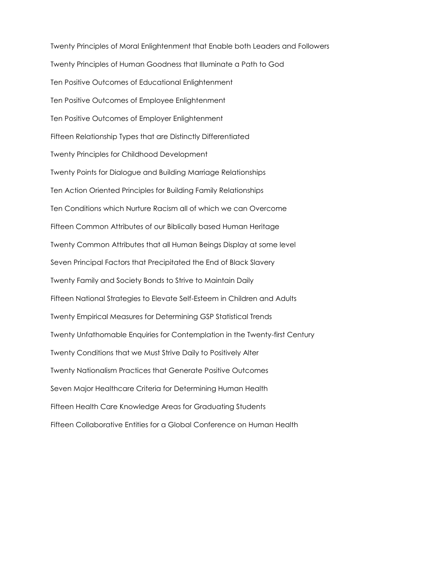Twenty Principles of Moral Enlightenment that Enable both Leaders and Followers Twenty Principles of Human Goodness that Illuminate a Path to God Ten Positive Outcomes of Educational Enlightenment Ten Positive Outcomes of Employee Enlightenment Ten Positive Outcomes of Employer Enlightenment Fifteen Relationship Types that are Distinctly Differentiated Twenty Principles for Childhood Development Twenty Points for Dialogue and Building Marriage Relationships Ten Action Oriented Principles for Building Family Relationships Ten Conditions which Nurture Racism all of which we can Overcome Fifteen Common Attributes of our Biblically based Human Heritage Twenty Common Attributes that all Human Beings Display at some level Seven Principal Factors that Precipitated the End of Black Slavery Twenty Family and Society Bonds to Strive to Maintain Daily Fifteen National Strategies to Elevate Self-Esteem in Children and Adults Twenty Empirical Measures for Determining GSP Statistical Trends Twenty Unfathomable Enquiries for Contemplation in the Twenty-first Century Twenty Conditions that we Must Strive Daily to Positively Alter Twenty Nationalism Practices that Generate Positive Outcomes Seven Major Healthcare Criteria for Determining Human Health Fifteen Health Care Knowledge Areas for Graduating Students Fifteen Collaborative Entities for a Global Conference on Human Health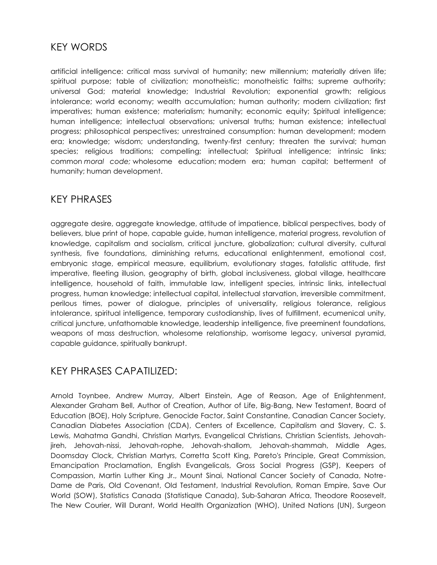#### KEY WORDS

artificial intelligence: critical mass survival of humanity; new millennium; materially driven life; spiritual purpose; table of civilization; monotheistic; monotheistic faiths; supreme authority; universal God; material knowledge; Industrial Revolution; exponential growth; religious intolerance; world economy; wealth accumulation; human authority; modern civilization; first imperatives; human existence; materialism; humanity; economic equity; Spiritual intelligence; human intelligence; intellectual observations; universal truths; human existence; intellectual progress; philosophical perspectives; unrestrained consumption: human development; modern era; knowledge; wisdom; understanding, twenty-first century; threaten the survival; human species; religious traditions; compelling; intellectual; Spiritual intelligence; intrinsic links; common *moral code;* wholesome education; modern era; human capital; betterment of humanity; human development.

#### KEY PHRASES

aggregate desire, aggregate knowledge, attitude of impatience, biblical perspectives, body of believers, blue print of hope, capable guide, human intelligence, material progress, revolution of knowledge, capitalism and socialism, critical juncture, globalization; cultural diversity, cultural synthesis, five foundations, diminishing returns, educational enlightenment, emotional cost, embryonic stage, empirical measure, equilibrium, evolutionary stages, fatalistic attitude, first imperative, fleeting illusion, geography of birth, global inclusiveness, global village, healthcare intelligence, household of faith, immutable law, intelligent species, intrinsic links, intellectual progress, human knowledge; intellectual capital, intellectual starvation, irreversible commitment, perilous times, power of dialogue, principles of universality, religious tolerance, religious intolerance, spiritual intelligence, temporary custodianship, lives of fulfillment, ecumenical unity, critical juncture, unfathomable knowledge, leadership intelligence, five preeminent foundations, weapons of mass destruction, wholesome relationship, worrisome legacy, universal pyramid, capable guidance, spiritually bankrupt.

#### KEY PHRASES CAPATILIZED:

Arnold Toynbee, Andrew Murray, Albert Einstein, Age of Reason, Age of Enlightenment, Alexander Graham Bell, Author of Creation, Author of Life, Big-Bang, New Testament, Board of Education (BOE), Holy Scripture, Genocide Factor, Saint Constantine, Canadian Cancer Society, Canadian Diabetes Association (CDA), Centers of Excellence, Capitalism and Slavery, C. S. Lewis, Mahatma Gandhi, Christian Martyrs, Evangelical Christians, Christian Scientists, Jehovahjireh, Jehovah-nissi, Jehovah-rophe, Jehovah-shallom, Jehovah-shammah, Middle Ages, Doomsday Clock, Christian Martyrs, Corretta Scott King, Pareto's Principle, Great Commission, Emancipation Proclamation, English Evangelicals, Gross Social Progress (GSP), Keepers of Compassion, Martin Luther King Jr., Mount Sinai, National Cancer Society of Canada, Notre-Dame de Paris, Old Covenant, Old Testament, Industrial Revolution, Roman Empire, Save Our World (SOW), Statistics Canada (Statistique Canada), Sub-Saharan Africa, Theodore Roosevelt, The New Courier, Will Durant, World Health Organization (WHO), United Nations (UN), Surgeon